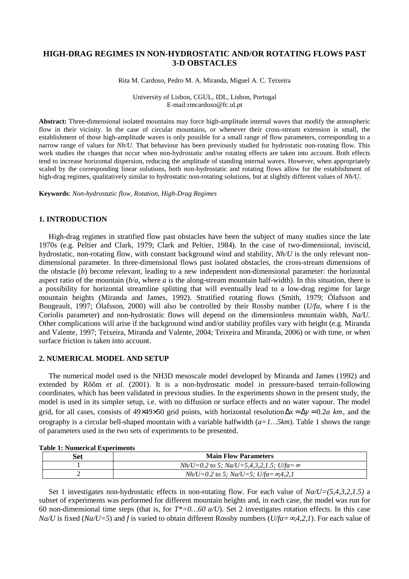# **HIGH-DRAG REGIMES IN NON-HYDROSTATIC AND/OR ROTATING FLOWS PAST 3-D OBSTACLES**

Rita M. Cardoso, Pedro M. A. Miranda, Miguel A. C. Teixeira

University of Lisbon, CGUL, IDL, Lisbon, Portugal E-mail:rmcardoso@fc.ul.pt

**Abstract:** Three-dimensional isolated mountains may force high-amplitude internal waves that modify the atmospheric flow in their vicinity. In the case of circular mountains, or whenever their cross-stream extension is small, the establishment of those high-amplitude waves is only possible for a small range of flow parameters, corresponding to a narrow range of values for *Nh/U*. That behaviour has been previously studied for hydrostatic non-rotating flow. This work studies the changes that occur when non-hydrostatic and/or rotating effects are taken into account. Both effects tend to increase horizontal dispersion, reducing the amplitude of standing internal waves. However, when appropriately scaled by the corresponding linear solutions, both non-hydrostatic and rotating flows allow for the establishment of high-drag regimes, qualitatively similar to hydrostatic non-rotating solutions, but at slightly different values of *Nh/U*.

**Keywords**: *Non-hydrostatic flow, Rotation, High-Drag Regimes* 

## **1. INTRODUCTION**

High-drag regimes in stratified flow past obstacles have been the subject of many studies since the late 1970s (e.g. Peltier and Clark, 1979; Clark and Peltier, 1984). In the case of two-dimensional, inviscid, hydrostatic, non-rotating flow, with constant background wind and stability, *Nh/U* is the only relevant nondimensional parameter. In three-dimensional flows past isolated obstacles, the cross-stream dimensions of the obstacle (*b*) become relevant, leading to a new independent non-dimensional parameter: the horizontal aspect ratio of the mountain (*b/a*, where *a* is the along-stream mountain half-width). In this situation, there is a possibility for horizontal streamline splitting that will eventually lead to a low-drag regime for large mountain heights (Miranda and James, 1992). Stratified rotating flows (Smith, 1979; Ólafsson and Bougeault, 1997; Ólafsson, 2000) will also be controlled by their Rossby number (*U/fa*, where f is the Coriolis parameter) and non-hydrostatic flows will depend on the dimensionless mountain width, *Na/U*. Other complications will arise if the background wind and/or stability profiles vary with height (e.g. Miranda and Valente, 1997; Teixeira, Miranda and Valente, 2004; Teixeira and Miranda, 2006) or with time, or when surface friction is taken into account.

### **2. NUMERICAL MODEL AND SETUP**

The numerical model used is the NH3D mesoscale model developed by Miranda and James (1992) and extended by Rõõm *et al.* (2001). It is a non-hydrostatic model in pressure-based terrain-following coordinates, which has been validated in previous studies. In the experiments shown in the present study, the model is used in its simpler setup, i.e. with no diffusion or surface effects and no water vapour. The model grid, for all cases, consists of 49×49×50 grid points, with horizontal resolution∆*x* = ∆*y* = 2.0 *a km*, and the orography is a circular bell-shaped mountain with a variable halfwidth (*a=1…5km*). Table 1 shows the range of parameters used in the two sets of experiments to be presented.

| Set | <b>Main Flow Parameters</b>                         |
|-----|-----------------------------------------------------|
|     | $Nh/U=0.2$ to 5; $Na/U=5,4,3,2,1.5$ ; $U/fa=\infty$ |
|     | $Nh/U=0.2$ to 5; $Na/U=5$ ; $U/fa=\infty,4,2,1$     |

#### **Table 1: Numerical Experiments**

Set 1 investigates non-hydrostatic effects in non-rotating flow. For each value of *Na/U=(5,4,3,2,1.5)* a subset of experiments was performed for different mountain heights and, in each case, the model was run for 60 non-dimensional time steps (that is, for  $T^*=0...60$  *a/U*). Set 2 investigates rotation effects. In this case *Na/U* is fixed (*Na/U=5*) and *f* is varied to obtain different Rossby numbers (*U/fa=*∞*4,2,1*). For each value of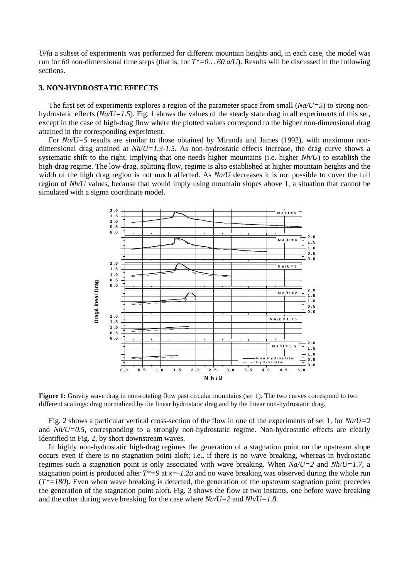*U/fa* a subset of experiments was performed for different mountain heights and, in each case, the model was run for *60* non-dimensional time steps (that is, for *T\*=0… 60 a/U*). Results will be discussed in the following sections.

## **3. NON-HYDROSTATIC EFFECTS**

The first set of experiments explores a region of the parameter space from small  $(Na/U=5)$  to strong nonhydrostatic effects (*Na/U=1.5*). Fig. 1 shows the values of the steady state drag in all experiments of this set, except in the case of high-drag flow where the plotted values correspond to the higher non-dimensional drag attained in the corresponding experiment.

For *Na/U=5* results are similar to those obtained by Miranda and James (1992), with maximum nondimensional drag attained at  $Nh/U=1.3-1.5$ . As non-hydrostatic effects increase, the drag curve shows a systematic shift to the right, implying that one needs higher mountains (i.e. higher *Nh/U*) to establish the high-drag regime. The low-drag, splitting flow, regime is also established at higher mountain heights and the width of the high drag region is not much affected. As *Na/U* decreases it is not possible to cover the full region of *Nh/U* values, because that would imply using mountain slopes above 1, a situation that cannot be simulated with a sigma coordinate model.



**Figure 1:** Gravity wave drag in non-rotating flow past circular mountains (set 1). The two curves correspond to two different scalings: drag normalized by the linear hydrostatic drag and by the linear non-hydrostatic drag.

Fig. 2 shows a particular vertical cross-section of the flow in one of the experiments of set 1, for *Na/U=2* and *Nh/U=0.5*, corresponding to a strongly non-hydrostatic regime. Non-hydrostatic effects are clearly identified in Fig. 2, by short downstream waves.

In highly non-hydrostatic high-drag regimes the generation of a stagnation point on the upstream slope occurs even if there is no stagnation point aloft; i.e., if there is no wave breaking, whereas in hydrostatic regimes such a stagnation point is only associated with wave breaking. When *Na/U=2* and *Nh/U=1.7*, a stagnation point is produced after *T\*=9* at *x=-1.2a* and no wave breaking was observed during the whole run  $(T^*=180)$ . Even when wave breaking is detected, the generation of the upstream stagnation point precedes the generation of the stagnation point aloft. Fig. 3 shows the flow at two instants, one before wave breaking and the other during wave breaking for the case where *Na/U=2* and *Nh/U=1.8*.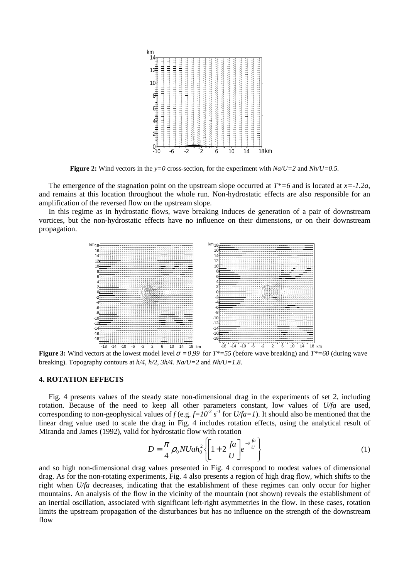

**Figure 2:** Wind vectors in the  $y=0$  cross-section, for the experiment with  $Na/U=2$  and  $Nh/U=0.5$ .

The emergence of the stagnation point on the upstream slope occurred at *T\*=6* and is located at *x=-1.2a*, and remains at this location throughout the whole run. Non-hydrostatic effects are also responsible for an amplification of the reversed flow on the upstream slope.

In this regime as in hydrostatic flows, wave breaking induces de generation of a pair of downstream vortices, but the non-hydrostatic effects have no influence on their dimensions, or on their downstream propagation.



**Figure 3:** Wind vectors at the lowest model level  $\sigma = 0.99$  for  $T^*=55$  (before wave breaking) and  $T^*=60$  (during wave breaking). Topography contours at *h/4*, *h/2*, *3h/4*. *Na/U=2* and *Nh/U=1.8*.

## **4. ROTATION EFFECTS**

Fig. 4 presents values of the steady state non-dimensional drag in the experiments of set 2, including rotation. Because of the need to keep all other parameters constant, low values of *U/fa* are used, corresponding to non-geophysical values of  $f$  (e.g.  $f=10^{-3}$  s<sup>-1</sup> for  $U/fa=1$ ). It should also be mentioned that the linear drag value used to scale the drag in Fig. 4 includes rotation effects, using the analytical result of Miranda and James (1992), valid for hydrostatic flow with rotation

$$
D = \frac{\pi}{4} \rho_0 N U a h_0^2 \left\{ \left[ 1 + 2 \frac{fa}{U} \right] e^{-2 \frac{fa}{U}} \right\} \tag{1}
$$

and so high non-dimensional drag values presented in Fig. 4 correspond to modest values of dimensional drag. As for the non-rotating experiments, Fig. 4 also presents a region of high drag flow, which shifts to the right when *U/fa* decreases, indicating that the establishment of these regimes can only occur for higher mountains. An analysis of the flow in the vicinity of the mountain (not shown) reveals the establishment of an inertial oscillation, associated with significant left-right asymmetries in the flow. In these cases, rotation limits the upstream propagation of the disturbances but has no influence on the strength of the downstream flow